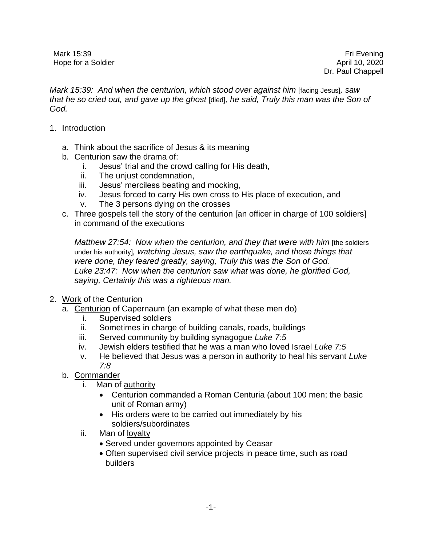Mark 15:39 Fri Evening Supering States of the Contract of the Contract of the Contract of the Contract of the Contract of the Contract of the Contract of the Contract of the Contract of the Contract of the Contract of the Hope for a Soldier **April 10, 2020** 

Dr. Paul Chappell

*Mark 15:39: And when the centurion, which stood over against him* [facing Jesus]*, saw that he so cried out, and gave up the ghost* [died]*, he said, Truly this man was the Son of God.*

- 1. Introduction
	- a. Think about the sacrifice of Jesus & its meaning
	- b. Centurion saw the drama of:
		- i. Jesus' trial and the crowd calling for His death,
		- ii. The unjust condemnation,
		- iii. Jesus' merciless beating and mocking,
		- iv. Jesus forced to carry His own cross to His place of execution, and
		- v. The 3 persons dying on the crosses
	- c. Three gospels tell the story of the centurion [an officer in charge of 100 soldiers] in command of the executions

*Matthew 27:54: Now when the centurion, and they that were with him* [the soldiers under his authority]*, watching Jesus, saw the earthquake, and those things that were done, they feared greatly, saying, Truly this was the Son of God. Luke 23:47: Now when the centurion saw what was done, he glorified God, saying, Certainly this was a righteous man.*

- 2. Work of the Centurion
	- a. Centurion of Capernaum (an example of what these men do)
		- i. Supervised soldiers
		- ii. Sometimes in charge of building canals, roads, buildings
		- iii. Served community by building synagogue *Luke 7:5*
		- iv. Jewish elders testified that he was a man who loved Israel *Luke 7:5*
		- v. He believed that Jesus was a person in authority to heal his servant *Luke 7:8*
	- b. Commander
		- i. Man of authority
			- Centurion commanded a Roman Centuria (about 100 men; the basic unit of Roman army)
			- His orders were to be carried out immediately by his soldiers/subordinates
		- ii. Man of loyalty
			- Served under governors appointed by Ceasar
			- Often supervised civil service projects in peace time, such as road builders